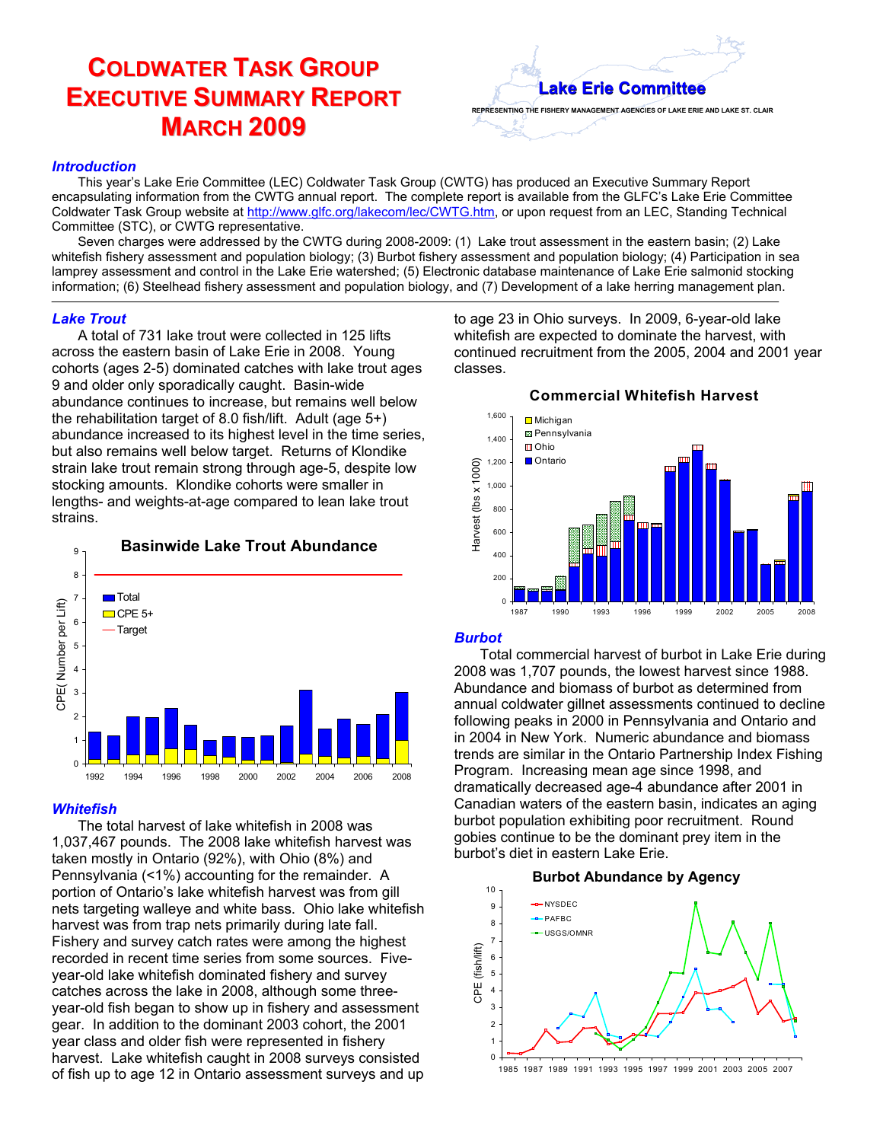# **COLDWATER TASK GROUP EXECUTIVE SUMMARY REPORT MARCH 2009**

# **REPRESENTING THE FISHERY MANAGEMENT AGENCIES OF LAKE ERIE AND LAKE ST. CLAIR Lake Erie Committee Lake Erie Committee**

## *Introduction*

This year's Lake Erie Committee (LEC) Coldwater Task Group (CWTG) has produced an Executive Summary Report encapsulating information from the CWTG annual report. The complete report is available from the GLFC's Lake Erie Committee Coldwater Task Group website at http://www.glfc.org/lakecom/lec/CWTG.htm, or upon request from an LEC, Standing Technical Committee (STC), or CWTG representative.

Seven charges were addressed by the CWTG during 2008-2009: (1) Lake trout assessment in the eastern basin; (2) Lake whitefish fishery assessment and population biology; (3) Burbot fishery assessment and population biology; (4) Participation in sea lamprey assessment and control in the Lake Erie watershed; (5) Electronic database maintenance of Lake Erie salmonid stocking information; (6) Steelhead fishery assessment and population biology, and (7) Development of a lake herring management plan.

## *Lake Trout*

A total of 731 lake trout were collected in 125 lifts across the eastern basin of Lake Erie in 2008. Young cohorts (ages 2-5) dominated catches with lake trout ages 9 and older only sporadically caught. Basin-wide abundance continues to increase, but remains well below the rehabilitation target of 8.0 fish/lift. Adult (age 5+) abundance increased to its highest level in the time series, but also remains well below target. Returns of Klondike strain lake trout remain strong through age-5, despite low stocking amounts. Klondike cohorts were smaller in lengths- and weights-at-age compared to lean lake trout strains.



# *Whitefish*

The total harvest of lake whitefish in 2008 was 1,037,467 pounds. The 2008 lake whitefish harvest was taken mostly in Ontario (92%), with Ohio (8%) and Pennsylvania (<1%) accounting for the remainder. A portion of Ontario's lake whitefish harvest was from gill nets targeting walleye and white bass. Ohio lake whitefish harvest was from trap nets primarily during late fall. Fishery and survey catch rates were among the highest recorded in recent time series from some sources. Fiveyear-old lake whitefish dominated fishery and survey catches across the lake in 2008, although some threeyear-old fish began to show up in fishery and assessment gear. In addition to the dominant 2003 cohort, the 2001 year class and older fish were represented in fishery harvest. Lake whitefish caught in 2008 surveys consisted of fish up to age 12 in Ontario assessment surveys and up

to age 23 in Ohio surveys. In 2009, 6-year-old lake whitefish are expected to dominate the harvest, with continued recruitment from the 2005, 2004 and 2001 year classes.



# *Burbot*

Total commercial harvest of burbot in Lake Erie during 2008 was 1,707 pounds, the lowest harvest since 1988. Abundance and biomass of burbot as determined from annual coldwater gillnet assessments continued to decline following peaks in 2000 in Pennsylvania and Ontario and in 2004 in New York. Numeric abundance and biomass trends are similar in the Ontario Partnership Index Fishing Program. Increasing mean age since 1998, and dramatically decreased age-4 abundance after 2001 in Canadian waters of the eastern basin, indicates an aging burbot population exhibiting poor recruitment. Round gobies continue to be the dominant prey item in the burbot's diet in eastern Lake Erie.

#### 8 9 10 -- NYSDEC **PAFBC** USGS/OMNR **Burbot Abundance by Agency**



1985 1987 1989 1991 1993 1995 1997 1999 2001 2003 2005 2007